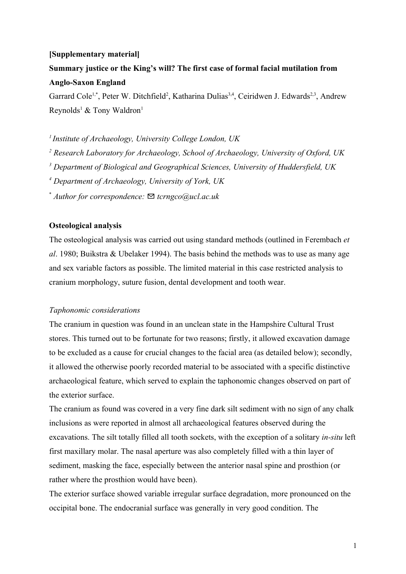# **[Supplementary material]**

# **Summary justice or the King's will? The first case of formal facial mutilation from Anglo-Saxon England**

Garrard Cole<sup>1,\*</sup>, Peter W. Ditchfield<sup>2</sup>, Katharina Dulias<sup>3,4</sup>, Ceiridwen J. Edwards<sup>2,3</sup>, Andrew Reynolds<sup>1</sup> & Tony Waldron<sup>1</sup>

*<sup>1</sup>Institute of Archaeology, University College London, UK*

*2 Research Laboratory for Archaeology, School of Archaeology, University of Oxford, UK*

*3 Department of Biological and Geographical Sciences, University of Huddersfield, UK*

*4 Department of Archaeology, University of York, UK*

\* *Author for correspondence:* ✉ *tcrngco@ucl.ac.uk*

# **Osteological analysis**

The osteological analysis was carried out using standard methods (outlined in Ferembach *et al*. 1980; Buikstra & Ubelaker 1994). The basis behind the methods was to use as many age and sex variable factors as possible. The limited material in this case restricted analysis to cranium morphology, suture fusion, dental development and tooth wear.

# *Taphonomic considerations*

The cranium in question was found in an unclean state in the Hampshire Cultural Trust stores. This turned out to be fortunate for two reasons; firstly, it allowed excavation damage to be excluded as a cause for crucial changes to the facial area (as detailed below); secondly, it allowed the otherwise poorly recorded material to be associated with a specific distinctive archaeological feature, which served to explain the taphonomic changes observed on part of the exterior surface.

The cranium as found was covered in a very fine dark silt sediment with no sign of any chalk inclusions as were reported in almost all archaeological features observed during the excavations. The silt totally filled all tooth sockets, with the exception of a solitary *in-situ* left first maxillary molar. The nasal aperture was also completely filled with a thin layer of sediment, masking the face, especially between the anterior nasal spine and prosthion (or rather where the prosthion would have been).

The exterior surface showed variable irregular surface degradation, more pronounced on the occipital bone. The endocranial surface was generally in very good condition. The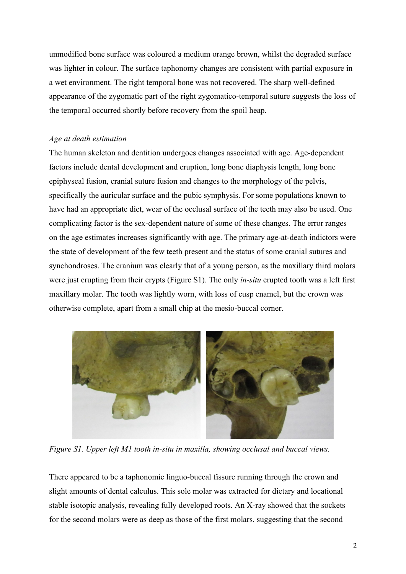unmodified bone surface was coloured a medium orange brown, whilst the degraded surface was lighter in colour. The surface taphonomy changes are consistent with partial exposure in a wet environment. The right temporal bone was not recovered. The sharp well-defined appearance of the zygomatic part of the right zygomatico-temporal suture suggests the loss of the temporal occurred shortly before recovery from the spoil heap.

# *Age at death estimation*

The human skeleton and dentition undergoes changes associated with age. Age-dependent factors include dental development and eruption, long bone diaphysis length, long bone epiphyseal fusion, cranial suture fusion and changes to the morphology of the pelvis, specifically the auricular surface and the pubic symphysis. For some populations known to have had an appropriate diet, wear of the occlusal surface of the teeth may also be used. One complicating factor is the sex-dependent nature of some of these changes. The error ranges on the age estimates increases significantly with age. The primary age-at-death indictors were the state of development of the few teeth present and the status of some cranial sutures and synchondroses. The cranium was clearly that of a young person, as the maxillary third molars were just erupting from their crypts (Figure S1). The only *in-situ* erupted tooth was a left first maxillary molar. The tooth was lightly worn, with loss of cusp enamel, but the crown was otherwise complete, apart from a small chip at the mesio-buccal corner.



*Figure S1. Upper left M1 tooth in-situ in maxilla, showing occlusal and buccal views.*

There appeared to be a taphonomic linguo-buccal fissure running through the crown and slight amounts of dental calculus. This sole molar was extracted for dietary and locational stable isotopic analysis, revealing fully developed roots. An X-ray showed that the sockets for the second molars were as deep as those of the first molars, suggesting that the second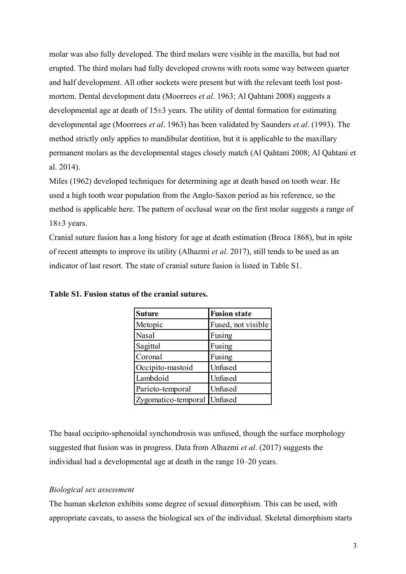molar was also fully developed. The third molars were visible in the maxilla, but had not erupted. The third molars had fully developed crowns with roots some way between quarter and half development. All other sockets were present but with the relevant teeth lost postmortem. Dental development data (Moorrees *et al*. 1963; Al Qahtani 2008) suggests a developmental age at death of  $15\pm3$  years. The utility of dental formation for estimating developmental age (Moorrees *et al*. 1963) has been validated by Saunders *et al*. (1993). The method strictly only applies to mandibular dentition, but it is applicable to the maxillary permanent molars as the developmental stages closely match (Al Qahtani 2008; Al Qahtani et al. 2014).

Miles (1962) developed techniques for determining age at death based on tooth wear. He used a high tooth wear population from the Anglo-Saxon period as his reference, so the method is applicable here. The pattern of occlusal wear on the first molar suggests a range of  $18±3$  years.

Cranial suture fusion has a long history for age at death estimation (Broca 1868), but in spite of recent attempts to improve its utility (Alhazmi *et al*. 2017), still tends to be used as an indicator of last resort. The state of cranial suture fusion is listed in Table S1.

| <b>Suture</b>               | <b>Fusion state</b> |
|-----------------------------|---------------------|
| Metopic                     | Fused, not visible  |
| Nasal                       | Fusing              |
| Sagittal                    | Fusing              |
| Coronal                     | Fusing              |
| Occipito-mastoid            | Unfused             |
| Lambdoid                    | Unfused             |
| Parieto-temporal            | Unfused             |
| Zygomatico-temporal Unfused |                     |

**Table S1. Fusion status of the cranial sutures.**

The basal occipito-sphenoidal synchondrosis was unfused, though the surface morphology suggested that fusion was in progress. Data from Alhazmi *et al*. (2017) suggests the individual had a developmental age at death in the range 10–20 years.

# *Biological sex assessment*

The human skeleton exhibits some degree of sexual dimorphism. This can be used, with appropriate caveats, to assess the biological sex of the individual. Skeletal dimorphism starts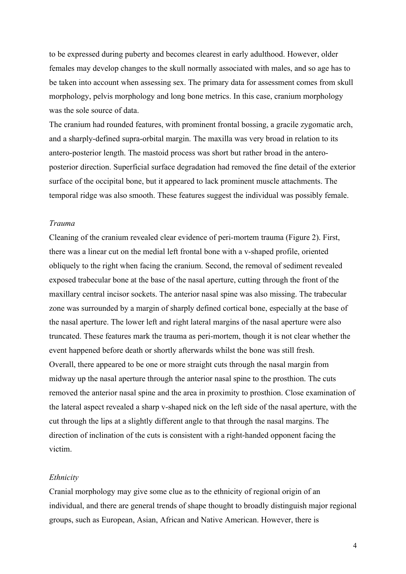to be expressed during puberty and becomes clearest in early adulthood. However, older females may develop changes to the skull normally associated with males, and so age has to be taken into account when assessing sex. The primary data for assessment comes from skull morphology, pelvis morphology and long bone metrics. In this case, cranium morphology was the sole source of data.

The cranium had rounded features, with prominent frontal bossing, a gracile zygomatic arch, and a sharply-defined supra-orbital margin. The maxilla was very broad in relation to its antero-posterior length. The mastoid process was short but rather broad in the anteroposterior direction. Superficial surface degradation had removed the fine detail of the exterior surface of the occipital bone, but it appeared to lack prominent muscle attachments. The temporal ridge was also smooth. These features suggest the individual was possibly female.

# *Trauma*

Cleaning of the cranium revealed clear evidence of peri-mortem trauma (Figure 2). First, there was a linear cut on the medial left frontal bone with a v-shaped profile, oriented obliquely to the right when facing the cranium. Second, the removal of sediment revealed exposed trabecular bone at the base of the nasal aperture, cutting through the front of the maxillary central incisor sockets. The anterior nasal spine was also missing. The trabecular zone was surrounded by a margin of sharply defined cortical bone, especially at the base of the nasal aperture. The lower left and right lateral margins of the nasal aperture were also truncated. These features mark the trauma as peri-mortem, though it is not clear whether the event happened before death or shortly afterwards whilst the bone was still fresh. Overall, there appeared to be one or more straight cuts through the nasal margin from midway up the nasal aperture through the anterior nasal spine to the prosthion. The cuts removed the anterior nasal spine and the area in proximity to prosthion. Close examination of the lateral aspect revealed a sharp v-shaped nick on the left side of the nasal aperture, with the cut through the lips at a slightly different angle to that through the nasal margins. The direction of inclination of the cuts is consistent with a right-handed opponent facing the victim.

#### *Ethnicity*

Cranial morphology may give some clue as to the ethnicity of regional origin of an individual, and there are general trends of shape thought to broadly distinguish major regional groups, such as European, Asian, African and Native American. However, there is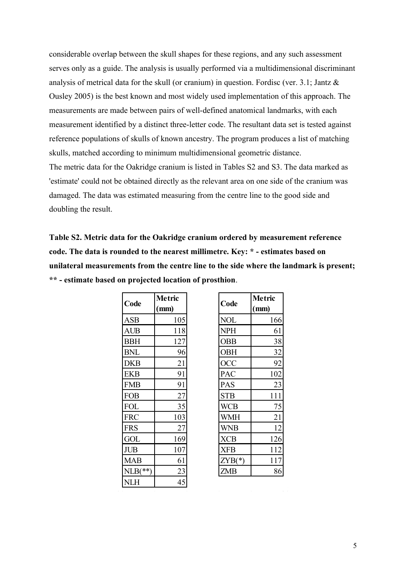considerable overlap between the skull shapes for these regions, and any such assessment serves only as a guide. The analysis is usually performed via a multidimensional discriminant analysis of metrical data for the skull (or cranium) in question. Fordisc (ver. 3.1; Jantz & Ousley 2005) is the best known and most widely used implementation of this approach. The measurements are made between pairs of well-defined anatomical landmarks, with each measurement identified by a distinct three-letter code. The resultant data set is tested against reference populations of skulls of known ancestry. The program produces a list of matching skulls, matched according to minimum multidimensional geometric distance. The metric data for the Oakridge cranium is listed in Tables S2 and S3. The data marked as 'estimate' could not be obtained directly as the relevant area on one side of the cranium was damaged. The data was estimated measuring from the centre line to the good side and doubling the result.

**Table S2. Metric data for the Oakridge cranium ordered by measurement reference code. The data is rounded to the nearest millimetre. Key: \* - estimates based on unilateral measurements from the centre line to the side where the landmark is present; \*\* - estimate based on projected location of prosthion**.

|            | Metric |
|------------|--------|
| Code       | (mm)   |
| ASB        | 105    |
| AUB        | 118    |
| <b>BBH</b> | 127    |
| <b>BNL</b> | 96     |
| DKB        | 21     |
| <b>EKB</b> | 91     |
| <b>FMB</b> | 91     |
| <b>FOB</b> | 27     |
| <b>FOL</b> | 35     |
| <b>FRC</b> | 103    |
| <b>FRS</b> | 27     |
| GOL        | 169    |
| <b>JUB</b> | 107    |
| MAB        | 61     |
| $NLB(**)$  | 23     |
| NLH        | 45     |

| Code       | <b>Metric</b><br>(mm) | Code       | Metric<br>(mm) |
|------------|-----------------------|------------|----------------|
| ASB        | 105                   | <b>NOL</b> | 166            |
| <b>AUB</b> | 118                   | <b>NPH</b> | 61             |
| <b>BBH</b> | 127                   | <b>OBB</b> | 38             |
| <b>BNL</b> | 96                    | <b>OBH</b> | 32             |
| <b>DKB</b> | <u>21</u>             | OCC        | 92             |
| EKB        | 91                    | PAC        | 102            |
| FMB        | 91                    | PAS        | 23             |
| FOB        | 27                    | <b>STB</b> | 111            |
| FOL        | 35                    | <b>WCB</b> | 75             |
| <b>FRC</b> | 103                   | <b>WMH</b> | 21             |
| FRS        | 27                    | WNB        | 12             |
| GOL        | 169                   | <b>XCB</b> | 126            |
| <b>JUB</b> | 107                   | <b>XFB</b> | 112            |
| MAB        | 61                    | $ZYB(*)$   | 117            |
| $NLB(**)$  | 23                    | ZMB        | 86             |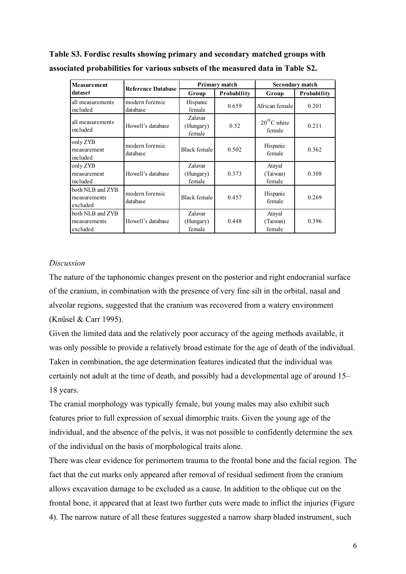| <b>Measurement</b>                                                          | <b>Reference Database</b>   | Primary match                  |             | <b>Secondary match</b>       |             |
|-----------------------------------------------------------------------------|-----------------------------|--------------------------------|-------------|------------------------------|-------------|
| dataset                                                                     |                             | Group                          | Probability | Group                        | Probability |
| all measurements<br>included                                                | modern forensic<br>database | Hispanic<br>female             | 0.659       | African female               | 0.201       |
| all measurements<br>Howell's database<br>included                           |                             | Zalavar<br>(Hungary)<br>female | 0.52        | $20^{th}$ C white<br>female  | 0.211       |
| only ZYB<br>modern forensic<br>measurement<br>database<br>included          |                             | Black female                   | 0.502       | Hispanic<br>female           | 0.362       |
| only ZYB<br>Howell's database<br>measurement<br>included                    |                             | Zalavar<br>(Hungary)<br>female | 0.373       | Atayal<br>(Taiwan)<br>female | 0.308       |
| both NLB and ZYB<br>modern forensic<br>measurements<br>database<br>excluded |                             | Black female                   | 0.457       | Hispanic<br>female           | 0.269       |
| both NLB and ZYB<br>Howell's database<br>measurements<br>excluded           |                             | Zalavar<br>(Hungary)<br>female | 0.448       | Atayal<br>(Taiwan)<br>female | 0.396       |

**Table S3. Fordisc results showing primary and secondary matched groups with associated probabilities for various subsets of the measured data in Table S2.**

# *Discussion*

The nature of the taphonomic changes present on the posterior and right endocranial surface of the cranium, in combination with the presence of very fine silt in the orbital, nasal and alveolar regions, suggested that the cranium was recovered from a watery environment (Knüsel & Carr 1995).

Given the limited data and the relatively poor accuracy of the ageing methods available, it was only possible to provide a relatively broad estimate for the age of death of the individual. Taken in combination, the age determination features indicated that the individual was certainly not adult at the time of death, and possibly had a developmental age of around 15– 18 years.

The cranial morphology was typically female, but young males may also exhibit such features prior to full expression of sexual dimorphic traits. Given the young age of the individual, and the absence of the pelvis, it was not possible to confidently determine the sex of the individual on the basis of morphological traits alone.

There was clear evidence for perimortem trauma to the frontal bone and the facial region. The fact that the cut marks only appeared after removal of residual sediment from the cranium allows excavation damage to be excluded as a cause. In addition to the oblique cut on the frontal bone, it appeared that at least two further cuts were made to inflict the injuries (Figure 4). The narrow nature of all these features suggested a narrow sharp bladed instrument, such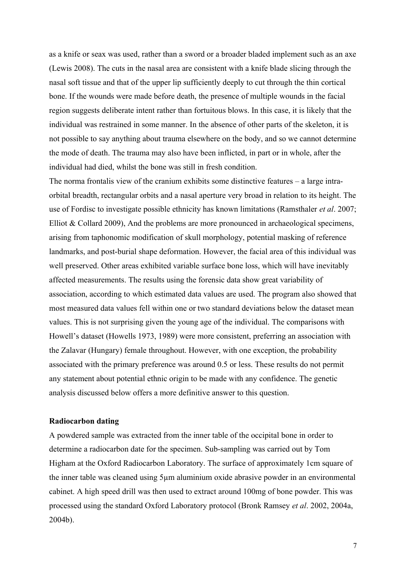as a knife or seax was used, rather than a sword or a broader bladed implement such as an axe (Lewis 2008). The cuts in the nasal area are consistent with a knife blade slicing through the nasal soft tissue and that of the upper lip sufficiently deeply to cut through the thin cortical bone. If the wounds were made before death, the presence of multiple wounds in the facial region suggests deliberate intent rather than fortuitous blows. In this case, it is likely that the individual was restrained in some manner. In the absence of other parts of the skeleton, it is not possible to say anything about trauma elsewhere on the body, and so we cannot determine the mode of death. The trauma may also have been inflicted, in part or in whole, after the individual had died, whilst the bone was still in fresh condition.

The norma frontalis view of the cranium exhibits some distinctive features – a large intraorbital breadth, rectangular orbits and a nasal aperture very broad in relation to its height. The use of Fordisc to investigate possible ethnicity has known limitations (Ramsthaler *et al*. 2007; Elliot & Collard 2009), And the problems are more pronounced in archaeological specimens, arising from taphonomic modification of skull morphology, potential masking of reference landmarks, and post-burial shape deformation. However, the facial area of this individual was well preserved. Other areas exhibited variable surface bone loss, which will have inevitably affected measurements. The results using the forensic data show great variability of association, according to which estimated data values are used. The program also showed that most measured data values fell within one or two standard deviations below the dataset mean values. This is not surprising given the young age of the individual. The comparisons with Howell's dataset (Howells 1973, 1989) were more consistent, preferring an association with the Zalavar (Hungary) female throughout. However, with one exception, the probability associated with the primary preference was around 0.5 or less. These results do not permit any statement about potential ethnic origin to be made with any confidence. The genetic analysis discussed below offers a more definitive answer to this question.

# **Radiocarbon dating**

A powdered sample was extracted from the inner table of the occipital bone in order to determine a radiocarbon date for the specimen. Sub-sampling was carried out by Tom Higham at the Oxford Radiocarbon Laboratory. The surface of approximately 1cm square of the inner table was cleaned using 5µm aluminium oxide abrasive powder in an environmental cabinet. A high speed drill was then used to extract around 100mg of bone powder. This was processed using the standard Oxford Laboratory protocol (Bronk Ramsey *et al*. 2002, 2004a, 2004b).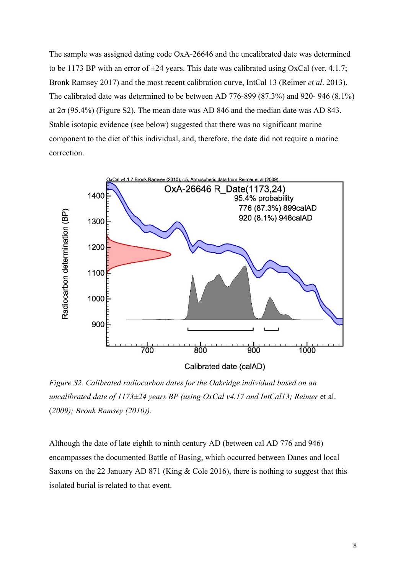The sample was assigned dating code OxA-26646 and the uncalibrated date was determined to be 1173 BP with an error of  $\pm 24$  years. This date was calibrated using OxCal (ver. 4.1.7; Bronk Ramsey 2017) and the most recent calibration curve, IntCal 13 (Reimer *et al*. 2013). The calibrated date was determined to be between AD 776-899 (87.3%) and 920- 946 (8.1%) at  $2\sigma$  (95.4%) (Figure S2). The mean date was AD 846 and the median date was AD 843. Stable isotopic evidence (see below) suggested that there was no significant marine component to the diet of this individual, and, therefore, the date did not require a marine correction.



*Figure S2. Calibrated radiocarbon dates for the Oakridge individual based on an uncalibrated date of 1173±24 years BP (using OxCal v4.17 and IntCal13; Reimer et al.* (*2009); Bronk Ramsey (2010)).*

Although the date of late eighth to ninth century AD (between cal AD 776 and 946) encompasses the documented Battle of Basing, which occurred between Danes and local Saxons on the 22 January AD 871 (King & Cole 2016), there is nothing to suggest that this isolated burial is related to that event.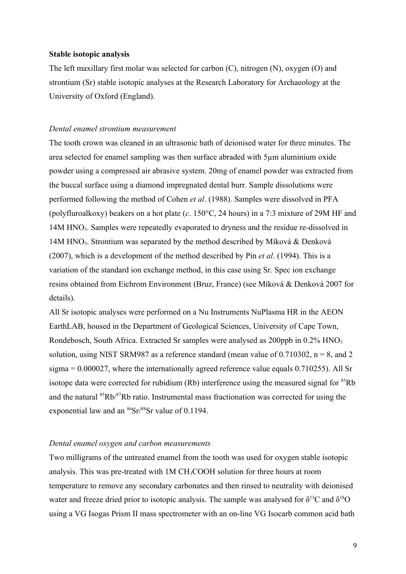# **Stable isotopic analysis**

The left maxillary first molar was selected for carbon (C), nitrogen (N), oxygen (O) and strontium (Sr) stable isotopic analyses at the Research Laboratory for Archaeology at the University of Oxford (England).

# *Dental enamel strontium measurement*

The tooth crown was cleaned in an ultrasonic bath of deionised water for three minutes. The area selected for enamel sampling was then surface abraded with 5µm aluminium oxide powder using a compressed air abrasive system. 20mg of enamel powder was extracted from the buccal surface using a diamond impregnated dental burr. Sample dissolutions were performed following the method of Cohen *et al*. (1988). Samples were dissolved in PFA (polyfluroalkoxy) beakers on a hot plate (*c*. 150°C, 24 hours) in a 7:3 mixture of 29M HF and 14M HNO<sub>3</sub>. Samples were repeatedly evaporated to dryness and the residue re-dissolved in 14M HNO3. Strontium was separated by the method described by Míková & Denková (2007), which is a development of the method described by Pin *et al*. (1994). This is a variation of the standard ion exchange method, in this case using Sr. Spec ion exchange resins obtained from Eichrom Environment (Bruz, France) (see Míková & Denková 2007 for details).

All Sr isotopic analyses were performed on a Nu Instruments NuPlasma HR in the AEON EarthLAB, housed in the Department of Geological Sciences, University of Cape Town, Rondebosch, South Africa. Extracted Sr samples were analysed as 200ppb in 0.2% HNO<sub>3</sub> solution, using NIST SRM987 as a reference standard (mean value of 0.710302,  $n = 8$ , and 2 sigma = 0.000027, where the internationally agreed reference value equals 0.710255). All Sr isotope data were corrected for rubidium  $(Rb)$  interference using the measured signal for  ${}^{85}Rb$ and the natural <sup>85</sup>Rb/<sup>87</sup>Rb ratio. Instrumental mass fractionation was corrected for using the exponential law and an  $86$ Sr/ $88$ Sr value of 0.1194.

### *Dental enamel oxygen and carbon measurements*

Two milligrams of the untreated enamel from the tooth was used for oxygen stable isotopic analysis. This was pre-treated with 1M CH3COOH solution for three hours at room temperature to remove any secondary carbonates and then rinsed to neutrality with deionised water and freeze dried prior to isotopic analysis. The sample was analysed for  $\delta^{13}C$  and  $\delta^{18}O$ using a VG Isogas Prism II mass spectrometer with an on-line VG Isocarb common acid bath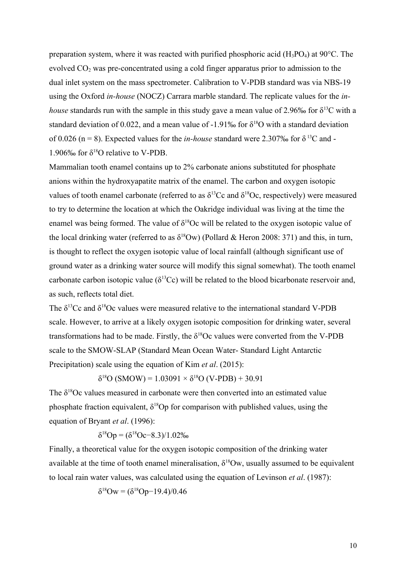preparation system, where it was reacted with purified phosphoric acid  $(H_3PO_4)$  at 90 $^{\circ}$ C. The evolved  $CO<sub>2</sub>$  was pre-concentrated using a cold finger apparatus prior to admission to the dual inlet system on the mass spectrometer. Calibration to V-PDB standard was via NBS-19 using the Oxford *in-house* (NOCZ) Carrara marble standard. The replicate values for the *inhouse* standards run with the sample in this study gave a mean value of 2.96‰ for  $\delta^{13}C$  with a standard deviation of 0.022, and a mean value of -1.91‰ for  $\delta^{18}O$  with a standard deviation of 0.026 (n = 8). Expected values for the *in-house* standard were 2.307‰ for  $\delta^{13}C$  and -1.906‰ for  $\delta^{18}O$  relative to V-PDB.

Mammalian tooth enamel contains up to 2% carbonate anions substituted for phosphate anions within the hydroxyapatite matrix of the enamel. The carbon and oxygen isotopic values of tooth enamel carbonate (referred to as  $\delta^{13}$ Cc and  $\delta^{18}$ Oc, respectively) were measured to try to determine the location at which the Oakridge individual was living at the time the enamel was being formed. The value of  $\delta^{18}$ Oc will be related to the oxygen isotopic value of the local drinking water (referred to as  $\delta^{18}$ Ow) (Pollard & Heron 2008: 371) and this, in turn, is thought to reflect the oxygen isotopic value of local rainfall (although significant use of ground water as a drinking water source will modify this signal somewhat). The tooth enamel carbonate carbon isotopic value ( $\delta^{13}$ Cc) will be related to the blood bicarbonate reservoir and, as such, reflects total diet.

The  $\delta^{13}$ Cc and  $\delta^{18}$ Oc values were measured relative to the international standard V-PDB scale. However, to arrive at a likely oxygen isotopic composition for drinking water, several transformations had to be made. Firstly, the  $\delta^{18}$ Oc values were converted from the V-PDB scale to the SMOW-SLAP (Standard Mean Ocean Water- Standard Light Antarctic Precipitation) scale using the equation of Kim *et al*. (2015):

 $δ<sup>18</sup>O (SMOW) = 1.03091 × δ<sup>18</sup>O (V-PDB) + 30.91$ 

The  $\delta^{18}$ Oc values measured in carbonate were then converted into an estimated value phosphate fraction equivalent,  $\delta^{18}$ Op for comparison with published values, using the equation of Bryant *et al*. (1996):

$$
\delta^{18}Op = (\delta^{18}Oc - 8.3)/1.02\%
$$

Finally, a theoretical value for the oxygen isotopic composition of the drinking water available at the time of tooth enamel mineralisation,  $\delta^{18}$ Ow, usually assumed to be equivalent to local rain water values, was calculated using the equation of Levinson *et al*. (1987):

$$
\delta^{18} \text{Ow} = (\delta^{18} \text{Op} - 19.4)/0.46
$$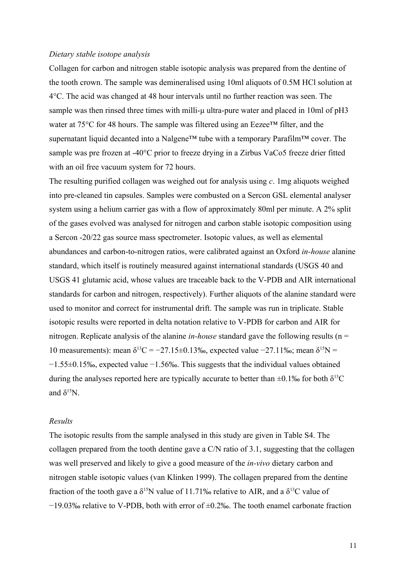#### *Dietary stable isotope analysis*

Collagen for carbon and nitrogen stable isotopic analysis was prepared from the dentine of the tooth crown. The sample was demineralised using 10ml aliquots of 0.5M HCl solution at 4°C. The acid was changed at 48 hour intervals until no further reaction was seen. The sample was then rinsed three times with milli-μ ultra-pure water and placed in 10ml of pH3 water at 75°C for 48 hours. The sample was filtered using an Eezee™ filter, and the supernatant liquid decanted into a Nalgene™ tube with a temporary Parafilm™ cover. The sample was pre frozen at -40°C prior to freeze drying in a Zirbus VaCo5 freeze drier fitted with an oil free vacuum system for 72 hours.

The resulting purified collagen was weighed out for analysis using *c*. 1mg aliquots weighed into pre-cleaned tin capsules. Samples were combusted on a Sercon GSL elemental analyser system using a helium carrier gas with a flow of approximately 80ml per minute. A 2% split of the gases evolved was analysed for nitrogen and carbon stable isotopic composition using a Sercon -20/22 gas source mass spectrometer. Isotopic values, as well as elemental abundances and carbon-to-nitrogen ratios, were calibrated against an Oxford *in-house* alanine standard, which itself is routinely measured against international standards (USGS 40 and USGS 41 glutamic acid, whose values are traceable back to the V-PDB and AIR international standards for carbon and nitrogen, respectively). Further aliquots of the alanine standard were used to monitor and correct for instrumental drift. The sample was run in triplicate. Stable isotopic results were reported in delta notation relative to V-PDB for carbon and AIR for nitrogen. Replicate analysis of the alanine *in-house* standard gave the following results (n = 10 measurements): mean δ<sup>13</sup>C = −27.15±0.13‰, expected value −27.11‰; mean δ<sup>15</sup>N = −1.55±0.15‰, expected value −1.56‰. This suggests that the individual values obtained during the analyses reported here are typically accurate to better than  $\pm 0.1\%$  for both  $\delta^{13}C$ and  $\delta^{15}$ N.

#### *Results*

The isotopic results from the sample analysed in this study are given in Table S4. The collagen prepared from the tooth dentine gave a C/N ratio of 3.1, suggesting that the collagen was well preserved and likely to give a good measure of the *in-vivo* dietary carbon and nitrogen stable isotopic values (van Klinken 1999). The collagen prepared from the dentine fraction of the tooth gave a  $\delta^{15}N$  value of 11.71‰ relative to AIR, and a  $\delta^{13}C$  value of −19.03‰ relative to V-PDB, both with error of ±0.2‰. The tooth enamel carbonate fraction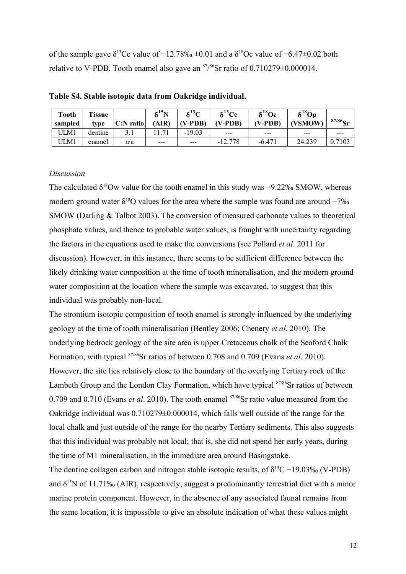of the sample gave  $\delta^{13}$ Cc value of −12.78‰  $\pm$ 0.01 and a  $\delta^{18}$ Oc value of −6.47 $\pm$ 0.02 both relative to V-PDB. Tooth enamel also gave an  $\frac{87}{85}$  ratio of 0.710279 $\pm$ 0.000014.

| <b>Tooth</b><br>sampled | <b>Tissue</b><br>type | $C:N$ ratio | $\delta^{15}N$<br>(AIR) | $\delta^{13}C$<br>$(V-PDB)$ | $\delta^{13}$ Cc<br>(V-PDB) | $\delta^{18}$ Oc<br>$(V-PDB)$ | $\delta^{18}$ Op<br>(VSMOW) | $87/86$ Sr |
|-------------------------|-----------------------|-------------|-------------------------|-----------------------------|-----------------------------|-------------------------------|-----------------------------|------------|
| ULM1                    | dentine               |             |                         | $-19.03$                    | $--$                        | $- - -$                       | ---                         | ---        |
| ULM1                    | enamel                | n/a         | $---$                   | $---$                       | $-12.778$                   | $-6.471$                      | 24.239                      | .7103      |
|                         |                       |             |                         |                             |                             |                               |                             |            |

**Table S4. Stable isotopic data from Oakridge individual.**

#### *Discussion*

The calculated  $\delta^{18}$ Ow value for the tooth enamel in this study was −9.22‰ SMOW, whereas modern ground water  $\delta^{18}$ O values for the area where the sample was found are around  $-7\%$ SMOW (Darling & Talbot 2003). The conversion of measured carbonate values to theoretical phosphate values, and thence to probable water values, is fraught with uncertainty regarding the factors in the equations used to make the conversions (see Pollard *et al*. 2011 for discussion). However, in this instance, there seems to be sufficient difference between the likely drinking water composition at the time of tooth mineralisation, and the modern ground water composition at the location where the sample was excavated, to suggest that this individual was probably non-local.

The strontium isotopic composition of tooth enamel is strongly influenced by the underlying geology at the time of tooth mineralisation (Bentley 2006; Chenery *et al*. 2010). The underlying bedrock geology of the site area is upper Cretaceous chalk of the Seaford Chalk Formation, with typical 87/86Sr ratios of between 0.708 and 0.709 (Evans *et al*. 2010). However, the site lies relatively close to the boundary of the overlying Tertiary rock of the Lambeth Group and the London Clay Formation, which have typical <sup>87/86</sup>Sr ratios of between 0.709 and 0.710 (Evans *et al.* 2010). The tooth enamel <sup>87/86</sup>Sr ratio value measured from the Oakridge individual was 0.710279±0.000014, which falls well outside of the range for the local chalk and just outside of the range for the nearby Tertiary sediments. This also suggests that this individual was probably not local; that is, she did not spend her early years, during the time of M1 mineralisation, in the immediate area around Basingstoke.

The dentine collagen carbon and nitrogen stable isotopic results, of  $\delta^{13}C - 19.03\%$  (V-PDB) and  $\delta^{15}$ N of 11.71‰ (AIR), respectively, suggest a predominantly terrestrial diet with a minor marine protein component. However, in the absence of any associated faunal remains from the same location, it is impossible to give an absolute indication of what these values might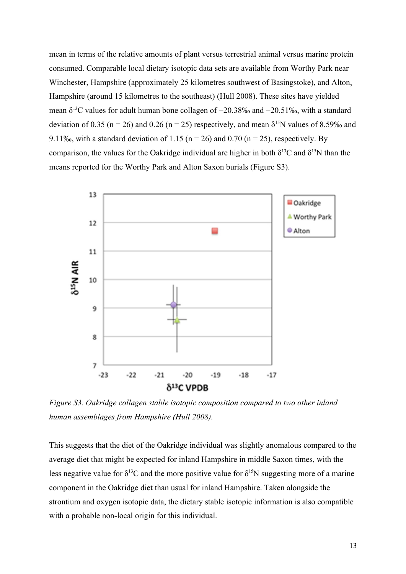mean in terms of the relative amounts of plant versus terrestrial animal versus marine protein consumed. Comparable local dietary isotopic data sets are available from Worthy Park near Winchester, Hampshire (approximately 25 kilometres southwest of Basingstoke), and Alton, Hampshire (around 15 kilometres to the southeast) (Hull 2008). These sites have yielded mean  $\delta^{13}$ C values for adult human bone collagen of -20.38‰ and -20.51‰, with a standard deviation of 0.35 (n = 26) and 0.26 (n = 25) respectively, and mean  $\delta^{15}N$  values of 8.59‰ and 9.11‰, with a standard deviation of 1.15 ( $n = 26$ ) and 0.70 ( $n = 25$ ), respectively. By comparison, the values for the Oakridge individual are higher in both  $\delta^{13}$ C and  $\delta^{15}$ N than the means reported for the Worthy Park and Alton Saxon burials (Figure S3).



*Figure S3. Oakridge collagen stable isotopic composition compared to two other inland human assemblages from Hampshire (Hull 2008).*

This suggests that the diet of the Oakridge individual was slightly anomalous compared to the average diet that might be expected for inland Hampshire in middle Saxon times, with the less negative value for  $\delta^{13}C$  and the more positive value for  $\delta^{15}N$  suggesting more of a marine component in the Oakridge diet than usual for inland Hampshire. Taken alongside the strontium and oxygen isotopic data, the dietary stable isotopic information is also compatible with a probable non-local origin for this individual.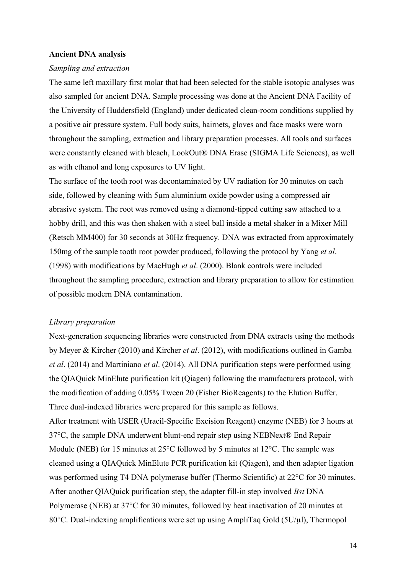#### **Ancient DNA analysis**

#### *Sampling and extraction*

The same left maxillary first molar that had been selected for the stable isotopic analyses was also sampled for ancient DNA. Sample processing was done at the Ancient DNA Facility of the University of Huddersfield (England) under dedicated clean-room conditions supplied by a positive air pressure system. Full body suits, hairnets, gloves and face masks were worn throughout the sampling, extraction and library preparation processes. All tools and surfaces were constantly cleaned with bleach, LookOut® DNA Erase (SIGMA Life Sciences), as well as with ethanol and long exposures to UV light.

The surface of the tooth root was decontaminated by UV radiation for 30 minutes on each side, followed by cleaning with 5µm aluminium oxide powder using a compressed air abrasive system. The root was removed using a diamond-tipped cutting saw attached to a hobby drill, and this was then shaken with a steel ball inside a metal shaker in a Mixer Mill (Retsch MM400) for 30 seconds at 30Hz frequency. DNA was extracted from approximately 150mg of the sample tooth root powder produced, following the protocol by Yang *et al*. (1998) with modifications by MacHugh *et al*. (2000). Blank controls were included throughout the sampling procedure, extraction and library preparation to allow for estimation of possible modern DNA contamination.

#### *Library preparation*

Next-generation sequencing libraries were constructed from DNA extracts using the methods by Meyer & Kircher (2010) and Kircher *et al*. (2012), with modifications outlined in Gamba *et al*. (2014) and Martiniano *et al*. (2014). All DNA purification steps were performed using the QIAQuick MinElute purification kit (Qiagen) following the manufacturers protocol, with the modification of adding 0.05% Tween 20 (Fisher BioReagents) to the Elution Buffer. Three dual-indexed libraries were prepared for this sample as follows. After treatment with USER (Uracil-Specific Excision Reagent) enzyme (NEB) for 3 hours at 37°C, the sample DNA underwent blunt-end repair step using NEBNext® End Repair

Module (NEB) for 15 minutes at 25<sup>o</sup>C followed by 5 minutes at 12<sup>o</sup>C. The sample was cleaned using a QIAQuick MinElute PCR purification kit (Qiagen), and then adapter ligation was performed using T4 DNA polymerase buffer (Thermo Scientific) at 22<sup>o</sup>C for 30 minutes. After another QIAQuick purification step, the adapter fill-in step involved *Bst* DNA Polymerase (NEB) at 37°C for 30 minutes, followed by heat inactivation of 20 minutes at 80°C. Dual-indexing amplifications were set up using AmpliTaq Gold (5U/µl), Thermopol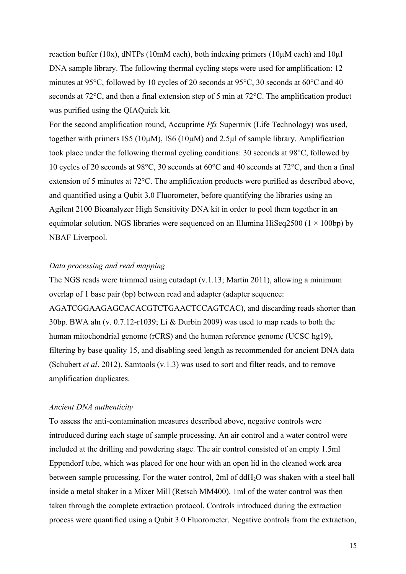reaction buffer (10x),  $dNTPs$  (10mM each), both indexing primers (10 $\mu$ M each) and 10 $\mu$ l DNA sample library. The following thermal cycling steps were used for amplification: 12 minutes at 95°C, followed by 10 cycles of 20 seconds at 95°C, 30 seconds at 60°C and 40 seconds at 72°C, and then a final extension step of 5 min at 72°C. The amplification product was purified using the QIAQuick kit.

For the second amplification round, Accuprime *Pfx* Supermix (Life Technology) was used, together with primers IS5 (10µM), IS6 (10µM) and 2.5µl of sample library. Amplification took place under the following thermal cycling conditions: 30 seconds at 98°C, followed by 10 cycles of 20 seconds at 98°C, 30 seconds at 60°C and 40 seconds at 72°C, and then a final extension of 5 minutes at 72°C. The amplification products were purified as described above, and quantified using a Qubit 3.0 Fluorometer, before quantifying the libraries using an Agilent 2100 Bioanalyzer High Sensitivity DNA kit in order to pool them together in an equimolar solution. NGS libraries were sequenced on an Illumina HiSeq2500 ( $1 \times 100$ bp) by NBAF Liverpool.

# *Data processing and read mapping*

The NGS reads were trimmed using cutadapt (v.1.13; Martin 2011), allowing a minimum overlap of 1 base pair (bp) between read and adapter (adapter sequence: AGATCGGAAGAGCACACGTCTGAACTCCAGTCAC), and discarding reads shorter than 30bp. BWA aln (v. 0.7.12-r1039; Li & Durbin 2009) was used to map reads to both the human mitochondrial genome (rCRS) and the human reference genome (UCSC hg19), filtering by base quality 15, and disabling seed length as recommended for ancient DNA data (Schubert *et al*. 2012). Samtools (v.1.3) was used to sort and filter reads, and to remove amplification duplicates.

# *Ancient DNA authenticity*

To assess the anti-contamination measures described above, negative controls were introduced during each stage of sample processing. An air control and a water control were included at the drilling and powdering stage. The air control consisted of an empty 1.5ml Eppendorf tube, which was placed for one hour with an open lid in the cleaned work area between sample processing. For the water control, 2ml of ddH2O was shaken with a steel ball inside a metal shaker in a Mixer Mill (Retsch MM400). 1ml of the water control was then taken through the complete extraction protocol. Controls introduced during the extraction process were quantified using a Qubit 3.0 Fluorometer. Negative controls from the extraction,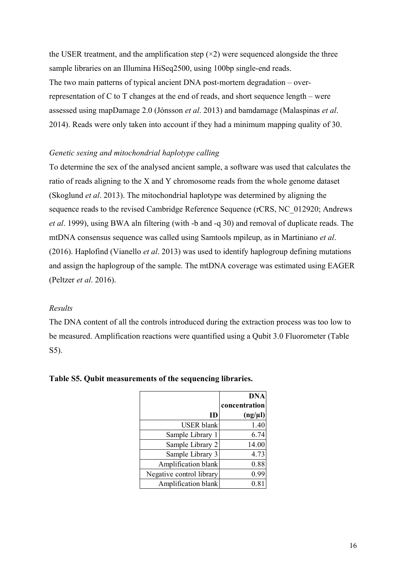the USER treatment, and the amplification step  $(\times 2)$  were sequenced alongside the three sample libraries on an Illumina HiSeq2500, using 100bp single-end reads. The two main patterns of typical ancient DNA post-mortem degradation – overrepresentation of C to T changes at the end of reads, and short sequence length – were assessed using mapDamage 2.0 (Jónsson *et al*. 2013) and bamdamage (Malaspinas *et al*. 2014). Reads were only taken into account if they had a minimum mapping quality of 30.

# *Genetic sexing and mitochondrial haplotype calling*

To determine the sex of the analysed ancient sample, a software was used that calculates the ratio of reads aligning to the X and Y chromosome reads from the whole genome dataset (Skoglund *et al*. 2013). The mitochondrial haplotype was determined by aligning the sequence reads to the revised Cambridge Reference Sequence (rCRS, NC\_012920; Andrews *et al*. 1999), using BWA aln filtering (with -b and -q 30) and removal of duplicate reads. The mtDNA consensus sequence was called using Samtools mpileup, as in Martiniano *et al*. (2016). Haplofind (Vianello *et al*. 2013) was used to identify haplogroup defining mutations and assign the haplogroup of the sample. The mtDNA coverage was estimated using EAGER (Peltzer *et al*. 2016).

# *Results*

The DNA content of all the controls introduced during the extraction process was too low to be measured. Amplification reactions were quantified using a Qubit 3.0 Fluorometer (Table S5).

|                          | <b>DNA</b><br>concentration |
|--------------------------|-----------------------------|
| ID                       | $(ng/\mu l)$                |
| <b>USER</b> blank        | 1.40                        |
| Sample Library 1         | 6.74                        |
| Sample Library 2         | 14.00                       |
| Sample Library 3         | 4.73                        |
| Amplification blank      | 0.88                        |
| Negative control library | 0.99                        |
| Amplification blank      | $0.81\,$                    |

# **Table S5. Qubit measurements of the sequencing libraries.**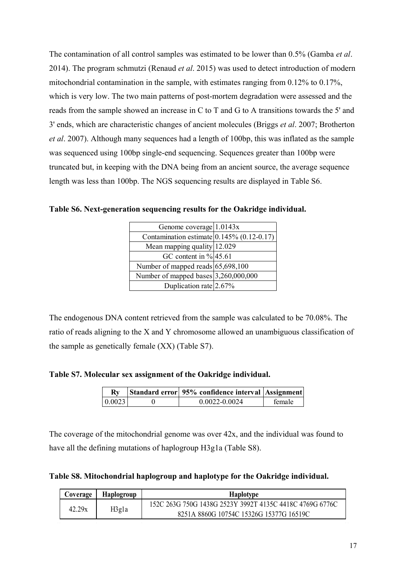The contamination of all control samples was estimated to be lower than 0.5% (Gamba *et al*. 2014). The program schmutzi (Renaud *et al*. 2015) was used to detect introduction of modern mitochondrial contamination in the sample, with estimates ranging from 0.12% to 0.17%, which is very low. The two main patterns of post-mortem degradation were assessed and the reads from the sample showed an increase in C to T and G to A transitions towards the 5' and 3' ends, which are characteristic changes of ancient molecules (Briggs *et al*. 2007; Brotherton *et al*. 2007). Although many sequences had a length of 100bp, this was inflated as the sample was sequenced using 100bp single-end sequencing. Sequences greater than 100bp were truncated but, in keeping with the DNA being from an ancient source, the average sequence length was less than 100bp. The NGS sequencing results are displayed in Table S6.

| Genome coverage $1.0143x$                      |  |
|------------------------------------------------|--|
| Contamination estimate $[0.145\% (0.12-0.17)]$ |  |
| Mean mapping quality 12.029                    |  |
| GC content in $\%$ 45.61                       |  |
| Number of mapped reads $65,698,100$            |  |
| Number of mapped bases $3,260,000,000$         |  |
| Duplication rate $2.67\%$                      |  |
|                                                |  |

**Table S6. Next-generation sequencing results for the Oakridge individual.**

The endogenous DNA content retrieved from the sample was calculated to be 70.08%. The ratio of reads aligning to the X and Y chromosome allowed an unambiguous classification of the sample as genetically female (XX) (Table S7).

**Table S7. Molecular sex assignment of the Oakridge individual.**

|         | Standard error 95% confidence interval Assignment |        |
|---------|---------------------------------------------------|--------|
| 0.0023' | $0.0022 - 0.0024$                                 | female |
|         |                                                   |        |

The coverage of the mitochondrial genome was over 42x, and the individual was found to have all the defining mutations of haplogroup H3g1a (Table S8).

**Table S8. Mitochondrial haplogroup and haplotype for the Oakridge individual.**

| Coverage        | <b>Haplogroup</b> | <b>Haplotype</b>                                         |
|-----------------|-------------------|----------------------------------------------------------|
| 42.29x<br>H3gla |                   | 152C 263G 750G 1438G 2523Y 3992T 4135C 4418C 4769G 6776C |
|                 |                   | 8251A 8860G 10754C 15326G 15377G 16519C                  |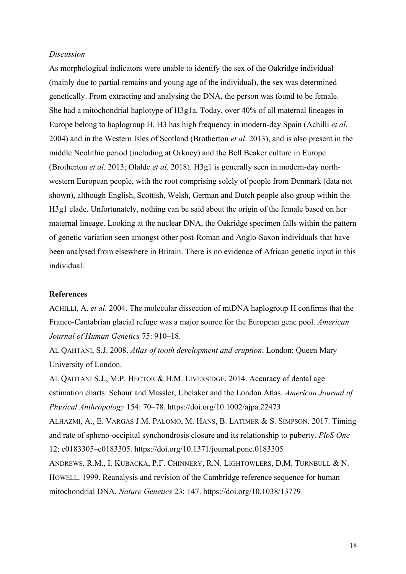### *Discussion*

As morphological indicators were unable to identify the sex of the Oakridge individual (mainly due to partial remains and young age of the individual), the sex was determined genetically. From extracting and analysing the DNA, the person was found to be female. She had a mitochondrial haplotype of H3g1a. Today, over 40% of all maternal lineages in Europe belong to haplogroup H. H3 has high frequency in modern-day Spain (Achilli *et al*. 2004) and in the Western Isles of Scotland (Brotherton *et al*. 2013), and is also present in the middle Neolithic period (including at Orkney) and the Bell Beaker culture in Europe (Brotherton *et al*. 2013; Olalde *et al*. 2018). H3g1 is generally seen in modern-day northwestern European people, with the root comprising solely of people from Denmark (data not shown), although English, Scottish, Welsh, German and Dutch people also group within the H3g1 clade. Unfortunately, nothing can be said about the origin of the female based on her maternal lineage. Looking at the nuclear DNA, the Oakridge specimen falls within the pattern of genetic variation seen amongst other post-Roman and Anglo-Saxon individuals that have been analysed from elsewhere in Britain. There is no evidence of African genetic input in this individual.

# **References**

ACHILLI, A. *et al*. 2004. The molecular dissection of mtDNA haplogroup H confirms that the Franco-Cantabrian glacial refuge was a major source for the European gene pool. *American Journal of Human Genetics* 75: 910–18.

AL QAHTANI, S.J. 2008. *Atlas of tooth development and eruption*. London: Queen Mary University of London.

AL QAHTANI S.J., M.P. HECTOR & H.M. LIVERSIDGE. 2014. Accuracy of dental age estimation charts: Schour and Massler, Ubelaker and the London Atlas. *American Journal of Physical Anthropology* 154: 70–78. https://doi.org/10.1002/ajpa.22473

ALHAZMI, A., E. VARGAS J.M. PALOMO, M. HANS, B. LATIMER & S. SIMPSON. 2017. Timing and rate of spheno-occipital synchondrosis closure and its relationship to puberty. *PloS One* 12: e0183305–e0183305. https://doi.org/10.1371/journal.pone.0183305

ANDREWS, R.M., I. KUBACKA, P.F. CHINNERY, R.N. LIGHTOWLERS, D.M. TURNBULL & N. HOWELL. 1999. Reanalysis and revision of the Cambridge reference sequence for human mitochondrial DNA. *Nature Genetics* 23: 147. https://doi.org/10.1038/13779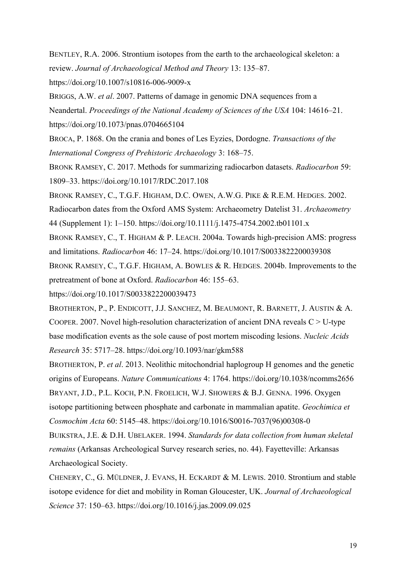BENTLEY, R.A. 2006. Strontium isotopes from the earth to the archaeological skeleton: a review. *Journal of Archaeological Method and Theory* 13: 135–87.

https://doi.org/10.1007/s10816-006-9009-x

BRIGGS, A.W. *et al*. 2007. Patterns of damage in genomic DNA sequences from a Neandertal. *Proceedings of the National Academy of Sciences of the USA* 104: 14616–21. https://doi.org/10.1073/pnas.0704665104

BROCA, P. 1868. On the crania and bones of Les Eyzies, Dordogne. *Transactions of the International Congress of Prehistoric Archaeology* 3: 168–75.

BRONK RAMSEY, C. 2017. Methods for summarizing radiocarbon datasets. *Radiocarbon* 59: 1809–33. https://doi.org/10.1017/RDC.2017.108

BRONK RAMSEY, C., T.G.F. HIGHAM, D.C. OWEN, A.W.G. PIKE & R.E.M. HEDGES. 2002.

Radiocarbon dates from the Oxford AMS System: Archaeometry Datelist 31. *Archaeometry* 44 (Supplement 1): 1–150. https://doi.org/10.1111/j.1475-4754.2002.tb01101.x

BRONK RAMSEY, C., T. HIGHAM & P. LEACH. 2004a. Towards high-precision AMS: progress and limitations. *Radiocarbon* 46: 17–24. https://doi.org/10.1017/S0033822200039308

BRONK RAMSEY, C., T.G.F. HIGHAM, A. BOWLES & R. HEDGES. 2004b. Improvements to the pretreatment of bone at Oxford. *Radiocarbon* 46: 155–63.

https://doi.org/10.1017/S0033822200039473

BROTHERTON, P., P. ENDICOTT, J.J. SANCHEZ, M. BEAUMONT, R. BARNETT, J. AUSTIN & A. COOPER. 2007. Novel high-resolution characterization of ancient DNA reveals  $C > U$ -type base modification events as the sole cause of post mortem miscoding lesions. *Nucleic Acids Research* 35: 5717–28. https://doi.org/10.1093/nar/gkm588

BROTHERTON, P. *et al*. 2013. Neolithic mitochondrial haplogroup H genomes and the genetic origins of Europeans. *Nature Communications* 4: 1764. https://doi.org/10.1038/ncomms2656 BRYANT, J.D., P.L. KOCH, P.N. FROELICH, W.J. SHOWERS & B.J. GENNA. 1996. Oxygen isotope partitioning between phosphate and carbonate in mammalian apatite. *Geochimica et Cosmochim Acta* 60: 5145–48. https://doi.org/10.1016/S0016-7037(96)00308-0

BUIKSTRA, J.E. & D.H. UBELAKER. 1994. *Standards for data collection from human skeletal remains* (Arkansas Archeological Survey research series, no. 44). Fayetteville: Arkansas Archaeological Society.

CHENERY, C., G. MÜLDNER, J. EVANS, H. ECKARDT & M. LEWIS. 2010. Strontium and stable isotope evidence for diet and mobility in Roman Gloucester, UK. *Journal of Archaeological Science* 37: 150–63. https://doi.org/10.1016/j.jas.2009.09.025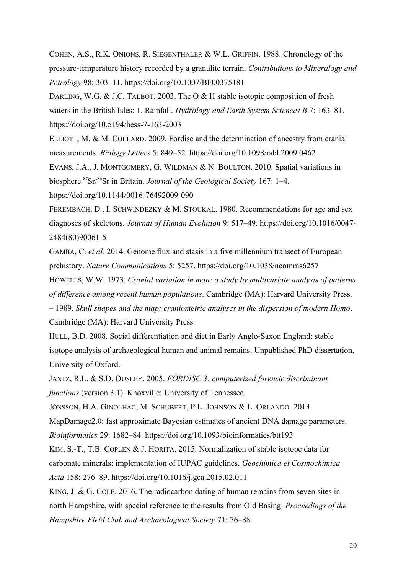COHEN, A.S., R.K. ONIONS, R. SIEGENTHALER & W.L. GRIFFIN. 1988. Chronology of the pressure-temperature history recorded by a granulite terrain. *Contributions to Mineralogy and Petrology* 98: 303–11. https://doi.org/10.1007/BF00375181

DARLING, W.G. & J.C. TALBOT. 2003. The O & H stable isotopic composition of fresh waters in the British Isles: 1. Rainfall. *Hydrology and Earth System Sciences B* 7: 163–81. https://doi.org/10.5194/hess-7-163-2003

ELLIOTT, M. & M. COLLARD. 2009. Fordisc and the determination of ancestry from cranial measurements. *Biology Letters* 5: 849–52. https://doi.org/10.1098/rsbl.2009.0462

EVANS, J.A., J. MONTGOMERY, G. WILDMAN & N. BOULTON. 2010. Spatial variations in biosphere <sup>87</sup>Sr/<sup>86</sup>Sr in Britain. *Journal of the Geological Society* 167: 1–4.

https://doi.org/10.1144/0016-76492009-090

FEREMBACH, D., I. SCHWINDEZKY & M. STOUKAL. 1980. Recommendations for age and sex diagnoses of skeletons. *Journal of Human Evolution* 9: 517–49. https://doi.org/10.1016/0047- 2484(80)90061-5

GAMBA, C. *et al.* 2014. Genome flux and stasis in a five millennium transect of European prehistory. *Nature Communications* 5: 5257. https://doi.org/10.1038/ncomms6257

HOWELLS, W.W. 1973. *Cranial variation in man: a study by multivariate analysis of patterns of difference among recent human populations*. Cambridge (MA): Harvard University Press.

– 1989. *Skull shapes and the map: craniometric analyses in the dispersion of modern Homo*. Cambridge (MA): Harvard University Press.

HULL, B.D. 2008. Social differentiation and diet in Early Anglo-Saxon England: stable isotope analysis of archaeological human and animal remains. Unpublished PhD dissertation, University of Oxford.

JANTZ, R.L. & S.D. OUSLEY. 2005. *FORDISC 3: computerized forensic discriminant functions* (version 3.1). Knoxville: University of Tennessee.

JÓNSSON, H.A. GINOLHAC, M. SCHUBERT, P.L. JOHNSON & L. ORLANDO. 2013.

MapDamage2.0: fast approximate Bayesian estimates of ancient DNA damage parameters.

*Bioinformatics* 29: 1682–84. https://doi.org/10.1093/bioinformatics/btt193

KIM, S.-T., T.B. COPLEN & J. HORITA. 2015. Normalization of stable isotope data for carbonate minerals: implementation of IUPAC guidelines. *Geochimica et Cosmochimica Acta* 158: 276–89. https://doi.org/10.1016/j.gca.2015.02.011

KING, J. & G. COLE. 2016. The radiocarbon dating of human remains from seven sites in north Hampshire, with special reference to the results from Old Basing. *Proceedings of the Hampshire Field Club and Archaeological Society* 71: 76–88.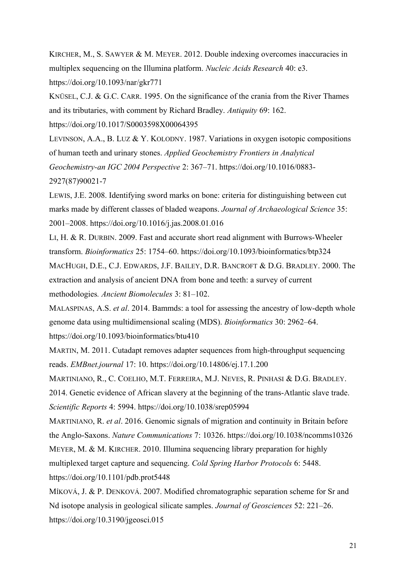KIRCHER, M., S. SAWYER & M. MEYER. 2012. Double indexing overcomes inaccuracies in multiplex sequencing on the Illumina platform. *Nucleic Acids Research* 40: e3. https://doi.org/10.1093/nar/gkr771

KNÜSEL, C.J. & G.C. CARR. 1995. On the significance of the crania from the River Thames and its tributaries, with comment by Richard Bradley. *Antiquity* 69: 162.

https://doi.org/10.1017/S0003598X00064395

LEVINSON, A.A., B. LUZ & Y. KOLODNY. 1987. Variations in oxygen isotopic compositions of human teeth and urinary stones. *Applied Geochemistry Frontiers in Analytical Geochemistry-an IGC 2004 Perspective* 2: 367–71. https://doi.org/10.1016/0883- 2927(87)90021-7

LEWIS, J.E. 2008. Identifying sword marks on bone: criteria for distinguishing between cut marks made by different classes of bladed weapons. *Journal of Archaeological Science* 35: 2001–2008. https://doi.org/10.1016/j.jas.2008.01.016

LI, H. & R. DURBIN. 2009. Fast and accurate short read alignment with Burrows-Wheeler transform. *Bioinformatics* 25: 1754–60. https://doi.org/10.1093/bioinformatics/btp324 MACHUGH, D.E., C.J. EDWARDS, J.F. BAILEY, D.R. BANCROFT & D.G. BRADLEY. 2000. The extraction and analysis of ancient DNA from bone and teeth: a survey of current methodologies*. Ancient Biomolecules* 3: 81–102.

MALASPINAS, A.S. *et al*. 2014. Bammds: a tool for assessing the ancestry of low-depth whole genome data using multidimensional scaling (MDS). *Bioinformatics* 30: 2962–64. https://doi.org/10.1093/bioinformatics/btu410

MARTIN, M. 2011. Cutadapt removes adapter sequences from high-throughput sequencing reads. *EMBnet.journal* 17: 10. https://doi.org/10.14806/ej.17.1.200

MARTINIANO, R., C. COELHO, M.T. FERREIRA, M.J. NEVES, R. PINHASI & D.G. BRADLEY. 2014. Genetic evidence of African slavery at the beginning of the trans-Atlantic slave trade. *Scientific Reports* 4: 5994. https://doi.org/10.1038/srep05994

MARTINIANO, R. *et al*. 2016. Genomic signals of migration and continuity in Britain before the Anglo-Saxons. *Nature Communications* 7: 10326. https://doi.org/10.1038/ncomms10326 MEYER, M. & M. KIRCHER. 2010. Illumina sequencing library preparation for highly multiplexed target capture and sequencing. *Cold Spring Harbor Protocols* 6: 5448. https://doi.org/10.1101/pdb.prot5448

MÍKOVÁ, J. & P. DENKOVÁ. 2007. Modified chromatographic separation scheme for Sr and Nd isotope analysis in geological silicate samples. *Journal of Geosciences* 52: 221–26. https://doi.org/10.3190/jgeosci.015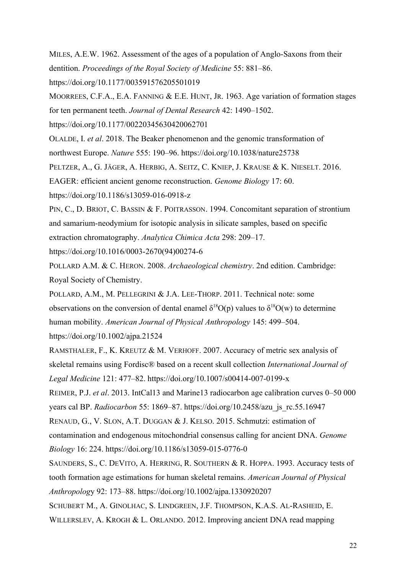MILES, A.E.W. 1962. Assessment of the ages of a population of Anglo-Saxons from their dentition. *Proceedings of the Royal Society of Medicine* 55: 881–86. https://doi.org/10.1177/003591576205501019

MOORREES, C.F.A., E.A. FANNING & E.E. HUNT, JR. 1963. Age variation of formation stages for ten permanent teeth. *Journal of Dental Research* 42: 1490–1502.

https://doi.org/10.1177/00220345630420062701

OLALDE, I. *et al*. 2018. The Beaker phenomenon and the genomic transformation of northwest Europe. *Nature* 555: 190–96. https://doi.org/10.1038/nature25738

PELTZER, A., G. JÄGER, A. HERBIG, A. SEITZ, C. KNIEP, J. KRAUSE & K. NIESELT. 2016.

EAGER: efficient ancient genome reconstruction. *Genome Biology* 17: 60.

https://doi.org/10.1186/s13059-016-0918-z

PIN, C., D. BRIOT, C. BASSIN & F. POITRASSON. 1994. Concomitant separation of strontium and samarium-neodymium for isotopic analysis in silicate samples, based on specific extraction chromatography. *Analytica Chimica Acta* 298: 209–17.

https://doi.org/10.1016/0003-2670(94)00274-6

POLLARD A.M. & C. HERON. 2008. *Archaeological chemistry*. 2nd edition. Cambridge: Royal Society of Chemistry.

POLLARD, A.M., M. PELLEGRINI & J.A. LEE-THORP. 2011. Technical note: some observations on the conversion of dental enamel  $\delta^{18}O(p)$  values to  $\delta^{18}O(w)$  to determine human mobility. *American Journal of Physical Anthropology* 145: 499–504. https://doi.org/10.1002/ajpa.21524

RAMSTHALER, F., K. KREUTZ & M. VERHOFF. 2007. Accuracy of metric sex analysis of skeletal remains using Fordisc® based on a recent skull collection *International Journal of Legal Medicine* 121: 477–82. https://doi.org/10.1007/s00414-007-0199-x

REIMER, P.J. *et al*. 2013. IntCal13 and Marine13 radiocarbon age calibration curves 0–50 000 years cal BP. *Radiocarbon* 55: 1869–87. https://doi.org/10.2458/azu\_js\_rc.55.16947

RENAUD, G., V. SLON, A.T. DUGGAN & J. KELSO. 2015. Schmutzi: estimation of

contamination and endogenous mitochondrial consensus calling for ancient DNA. *Genome Biology* 16: 224. https://doi.org/10.1186/s13059-015-0776-0

SAUNDERS, S., C. DEVITO, A. HERRING, R. SOUTHERN & R. HOPPA. 1993. Accuracy tests of tooth formation age estimations for human skeletal remains. *American Journal of Physical Anthropolog*y 92: 173–88. https://doi.org/10.1002/ajpa.1330920207

SCHUBERT M., A. GINOLHAC, S. LINDGREEN, J.F. THOMPSON, K.A.S. AL-RASHEID, E.

WILLERSLEV, A. KROGH & L. ORLANDO. 2012. Improving ancient DNA read mapping